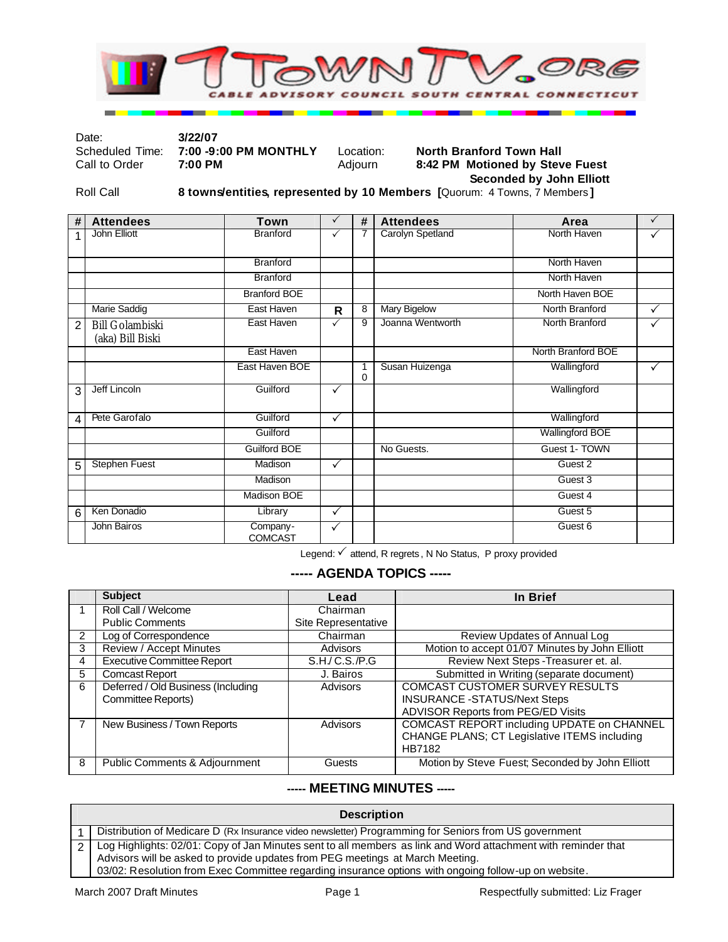

Date: **3/22/07** 

#### Scheduled Time: **7:00 -9:00 PM MONTHLY** Location: **North Branford Town Hall**<br>Call to Order **7:00 PM Adjourn** 8:42 PM Motioned by Stev **8:42 PM Motioned by Steve Fuest Seconded by John Elliott**

Roll Call **8 towns/entities, represented by 10 Members [**Quorum: 4 Towns, 7 Members **]**

| #              | <b>Attendees</b>                           | <b>Town</b>                | $\checkmark$ | #      | <b>Attendees</b> | Area                   | $\checkmark$ |
|----------------|--------------------------------------------|----------------------------|--------------|--------|------------------|------------------------|--------------|
| 1              | John Elliott                               | Branford                   | ✓            | 7      | Carolyn Spetland | North Haven            | ✓            |
|                |                                            | <b>Branford</b>            |              |        |                  | North Haven            |              |
|                |                                            | <b>Branford</b>            |              |        |                  | North Haven            |              |
|                |                                            | <b>Branford BOE</b>        |              |        |                  | North Haven BOE        |              |
|                | Marie Saddig                               | East Haven                 | $\mathsf{R}$ | 8      | Mary Bigelow     | North Branford         | ✓            |
| $\overline{2}$ | <b>Bill Golambiski</b><br>(aka) Bill Biski | East Haven                 | $\checkmark$ | 9      | Joanna Wentworth | North Branford         | ✓            |
|                |                                            | East Haven                 |              |        |                  | North Branford BOE     |              |
|                |                                            | East Haven BOE             |              | 1<br>0 | Susan Huizenga   | Wallingford            | $\checkmark$ |
| 3              | Jeff Lincoln                               | Guilford                   | ✓            |        |                  | Wallingford            |              |
| 4              | Pete Garofalo                              | Guilford                   | $\checkmark$ |        |                  | Wallingford            |              |
|                |                                            | Guilford                   |              |        |                  | <b>Wallingford BOE</b> |              |
|                |                                            | <b>Guilford BOE</b>        |              |        | No Guests.       | Guest 1- TOWN          |              |
| 5              | <b>Stephen Fuest</b>                       | Madison                    | $\checkmark$ |        |                  | Guest 2                |              |
|                |                                            | Madison                    |              |        |                  | Guest 3                |              |
|                |                                            | <b>Madison BOE</b>         |              |        |                  | Guest 4                |              |
| 6              | Ken Donadio                                | Library                    | $\checkmark$ |        |                  | Guest 5                |              |
|                | John Bairos                                | Company-<br><b>COMCAST</b> | ✓            |        |                  | Guest 6                |              |

Legend: √ attend, R regrets, N No Status, P proxy provided

## **----- AGENDA TOPICS -----**

|   | <b>Subject</b>                     | Lead                | In Brief                                        |
|---|------------------------------------|---------------------|-------------------------------------------------|
|   | Roll Call / Welcome                | Chairman            |                                                 |
|   | <b>Public Comments</b>             | Site Representative |                                                 |
| 2 | Log of Correspondence              | Chairman            | Review Updates of Annual Log                    |
| 3 | Review / Accept Minutes            | Advisors            | Motion to accept 01/07 Minutes by John Elliott  |
| 4 | <b>Executive Committee Report</b>  | S.H/C.S./P.G        | Review Next Steps - Treasurer et. al.           |
| 5 | <b>Comcast Report</b>              | J. Bairos           | Submitted in Writing (separate document)        |
| 6 | Deferred / Old Business (Including | Advisors            | <b>COMCAST CUSTOMER SURVEY RESULTS</b>          |
|   | Committee Reports)                 |                     | <b>INSURANCE -STATUS/Next Steps</b>             |
|   |                                    |                     | ADVISOR Reports from PEG/ED Visits              |
|   | New Business / Town Reports        | Advisors            | COMCAST REPORT including UPDATE on CHANNEL      |
|   |                                    |                     | CHANGE PLANS; CT Legislative ITEMS including    |
|   |                                    |                     | <b>HB7182</b>                                   |
| 8 | Public Comments & Adjournment      | Guests              | Motion by Steve Fuest; Seconded by John Elliott |

### **----- MEETING MINUTES -----**

| <b>Description</b>                                                                                                                                                                                                                                                                                     |  |  |  |  |
|--------------------------------------------------------------------------------------------------------------------------------------------------------------------------------------------------------------------------------------------------------------------------------------------------------|--|--|--|--|
| Distribution of Medicare D (Rx Insurance video newsletter) Programming for Seniors from US government                                                                                                                                                                                                  |  |  |  |  |
| Log Highlights: 02/01: Copy of Jan Minutes sent to all members as link and Word attachment with reminder that<br>Advisors will be asked to provide updates from PEG meetings at March Meeting.<br>03/02: Resolution from Exec Committee regarding insurance options with ongoing follow-up on website. |  |  |  |  |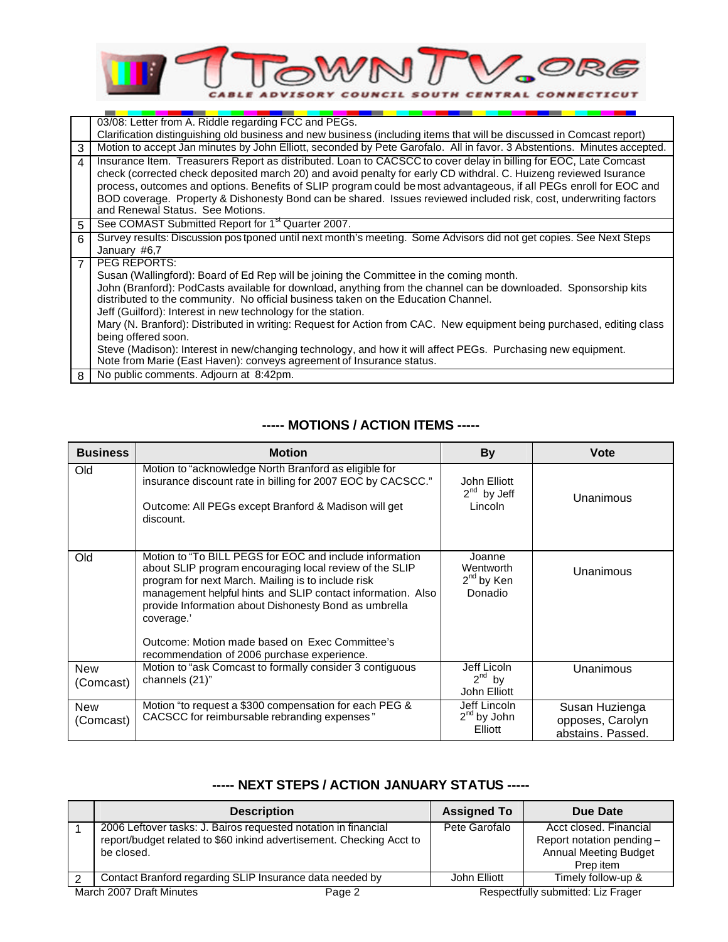

|                | 03/08: Letter from A. Riddle regarding FCC and PEGs.                                                                                                                                                  |
|----------------|-------------------------------------------------------------------------------------------------------------------------------------------------------------------------------------------------------|
|                | Clarification distinguishing old business and new business (including items that will be discussed in Comcast report)                                                                                 |
| 3              | Motion to accept Jan minutes by John Elliott, seconded by Pete Garofalo. All in favor. 3 Abstentions. Minutes accepted.                                                                               |
| 4              | Insurance Item. Treasurers Report as distributed. Loan to CACSCC to cover delay in billing for EOC, Late Comcast                                                                                      |
|                | check (corrected check deposited march 20) and avoid penalty for early CD withdral. C. Huizeng reviewed Isurance                                                                                      |
|                | process, outcomes and options. Benefits of SLIP program could be most advantageous, if all PEGs enroll for EOC and                                                                                    |
|                | BOD coverage. Property & Dishonesty Bond can be shared. Issues reviewed included risk, cost, underwriting factors                                                                                     |
|                | and Renewal Status. See Motions.                                                                                                                                                                      |
| 5              | See COMAST Submitted Report for 1 <sup>st</sup> Quarter 2007.                                                                                                                                         |
| 6              | Survey results: Discussion postponed until next month's meeting. Some Advisors did not get copies. See Next Steps                                                                                     |
|                | January #6,7                                                                                                                                                                                          |
| $\overline{7}$ | PEG REPORTS:                                                                                                                                                                                          |
|                | Susan (Wallingford): Board of Ed Rep will be joining the Committee in the coming month.                                                                                                               |
|                | John (Branford): PodCasts available for download, anything from the channel can be downloaded. Sponsorship kits<br>distributed to the community. No official business taken on the Education Channel. |
|                | Jeff (Guilford): Interest in new technology for the station.                                                                                                                                          |
|                |                                                                                                                                                                                                       |
|                | Mary (N. Branford): Distributed in writing: Request for Action from CAC. New equipment being purchased, editing class                                                                                 |
|                | being offered soon.                                                                                                                                                                                   |
|                | Steve (Madison): Interest in new/changing technology, and how it will affect PEGs. Purchasing new equipment.                                                                                          |
|                | Note from Marie (East Haven): conveys agreement of Insurance status.                                                                                                                                  |
| 8              | No public comments. Adjourn at 8:42pm.                                                                                                                                                                |

## **----- MOTIONS / ACTION ITEMS -----**

| <b>Business</b>         | <b>Motion</b>                                                                                                                                                                                                                                                                                                                                                                                                   | <b>By</b>                                         | <b>Vote</b>                                             |
|-------------------------|-----------------------------------------------------------------------------------------------------------------------------------------------------------------------------------------------------------------------------------------------------------------------------------------------------------------------------------------------------------------------------------------------------------------|---------------------------------------------------|---------------------------------------------------------|
| Old                     | Motion to "acknowledge North Branford as eligible for<br>insurance discount rate in billing for 2007 EOC by CACSCC."<br>Outcome: All PEGs except Branford & Madison will get<br>discount.                                                                                                                                                                                                                       | John Elliott<br>$2^{nd}$ by Jeff<br>Lincoln       | Unanimous                                               |
| Old                     | Motion to "To BILL PEGS for EOC and include information<br>about SLIP program encouraging local review of the SLIP<br>program for next March. Mailing is to include risk<br>management helpful hints and SLIP contact information. Also<br>provide Information about Dishonesty Bond as umbrella<br>coverage.'<br>Outcome: Motion made based on Exec Committee's<br>recommendation of 2006 purchase experience. | Joanne<br>Wentworth<br>$2^{nd}$ by Ken<br>Donadio | Unanimous                                               |
| <b>New</b>              | Motion to "ask Comcast to formally consider 3 contiguous                                                                                                                                                                                                                                                                                                                                                        | Jeff Licoln<br>$2^{nd}$ by                        | <b>Unanimous</b>                                        |
| (Comcast)               | channels (21)"                                                                                                                                                                                                                                                                                                                                                                                                  | John Elliott                                      |                                                         |
| <b>New</b><br>(Comcast) | Motion "to request a \$300 compensation for each PEG &<br>CACSCC for reimbursable rebranding expenses"                                                                                                                                                                                                                                                                                                          | Jeff Lincoln<br>$2nd$ by John<br>Elliott          | Susan Huzienga<br>opposes, Carolyn<br>abstains. Passed. |

# **----- NEXT STEPS / ACTION JANUARY STATUS -----**

|                                    | <b>Description</b>                                                                                                                                   | <b>Assigned To</b>                 | Due Date                                                                                         |
|------------------------------------|------------------------------------------------------------------------------------------------------------------------------------------------------|------------------------------------|--------------------------------------------------------------------------------------------------|
|                                    | 2006 Leftover tasks: J. Bairos requested notation in financial<br>report/budget related to \$60 inkind advertisement. Checking Acct to<br>be closed. | Pete Garofalo                      | Acct closed. Financial<br>Report notation pending -<br><b>Annual Meeting Budget</b><br>Prep item |
|                                    | Contact Branford regarding SLIP Insurance data needed by                                                                                             | John Elliott                       | Timely follow-up &                                                                               |
| March 2007 Draft Minutes<br>Page 2 |                                                                                                                                                      | Respectfully submitted: Liz Frager |                                                                                                  |